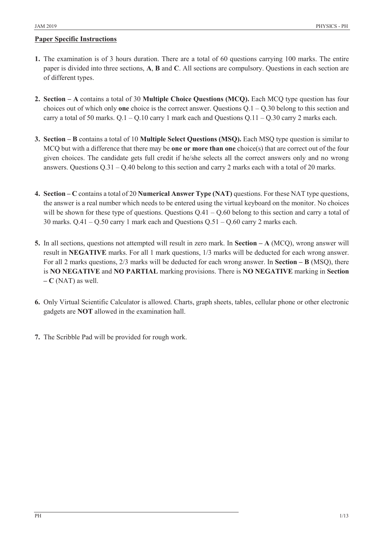## **Paper Specific Instructions**

- **1.** The examination is of 3 hours duration. There are a total of 60 questions carrying 100 marks. The entire paper is divided into three sections, **A**, **B** and **C**. All sections are compulsory. Questions in each section are of different types.
- **2. Section ± A** contains a total of 30 **Multiple Choice Questions (MCQ).** Each MCQ type question has four choices out of which only **one** choice is the correct answer. Questions  $Q.1 - Q.30$  belong to this section and carry a total of 50 marks.  $Q.1 - Q.10$  carry 1 mark each and Questions  $Q.11 - Q.30$  carry 2 marks each.
- **3. Section ± B** contains a total of 10 **Multiple Select Questions (MSQ).** Each MSQ type question is similar to MCQ but with a difference that there may be **one or more than one** choice(s) that are correct out of the four given choices. The candidate gets full credit if he/she selects all the correct answers only and no wrong answers. Questions  $Q.31 - Q.40$  belong to this section and carry 2 marks each with a total of 20 marks.
- **4. Section ± C** contains a total of 20 **Numerical Answer Type (NAT)** questions. For these NAT type questions, the answer is a real number which needs to be entered using the virtual keyboard on the monitor. No choices will be shown for these type of questions. Questions  $Q.41 - Q.60$  belong to this section and carry a total of 30 marks.  $Q.41 - Q.50$  carry 1 mark each and Questions  $Q.51 - Q.60$  carry 2 marks each.
- **5.** In all sections, questions not attempted will result in zero mark. In **Section ± A** (MCQ), wrong answer will result in **NEGATIVE** marks. For all 1 mark questions, 1/3 marks will be deducted for each wrong answer. For all 2 marks questions,  $2/3$  marks will be deducted for each wrong answer. In **Section – B** (MSQ), there is **NO NEGATIVE** and **NO PARTIAL** marking provisions. There is **NO NEGATIVE** marking in **Section**   $-$  **C** (NAT) as well.
- **6.** Only Virtual Scientific Calculator is allowed. Charts, graph sheets, tables, cellular phone or other electronic gadgets are **NOT** allowed in the examination hall.
- **7.** The Scribble Pad will be provided for rough work.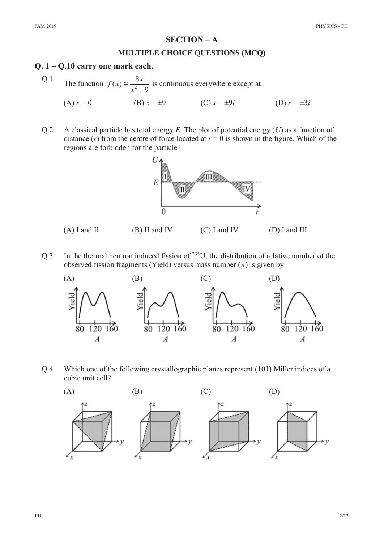# **SECTION – A**

#### **MULTIPLE CHOICE QUESTIONS (MCQ)**

### **Q. 1 ± Q.10 carry one mark each.**

- Q.1 The function  $f(x) \approx \frac{8x}{x^2+9}$  $\approx \frac{6x}{x^2+9}$  is continuous everywhere except at (A)  $x = 0$  (B)  $x = \pm 9$  (C)  $x = \pm 9i$  (D)  $x = \pm 3i$
- Q.2 A classical particle has total energy *E*. The plot of potential energy (*U*) as a function of distance  $(r)$  from the centre of force located at  $r = 0$  is shown in the figure. Which of the regions are forbidden for the particle?



Q.3 In the thermal neutron induced fission of  $^{235}U$ , the distribution of relative number of the observed fission fragments (Yield) versus mass number (*A*) is given by



Q.4 Which one of the following crystallographic planes represent (101) Miller indices of a cubic unit cell?

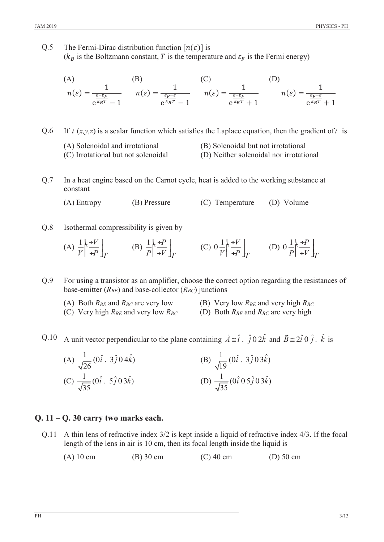Q.5 The Fermi-Dirac distribution function  $[n(\varepsilon)]$  is ( $k_B$  is the Boltzmann constant, T is the temperature and  $\varepsilon_F$  is the Fermi energy)

(A) (B) (C) 
$$
n(\varepsilon) = \frac{1}{\frac{\varepsilon - \varepsilon_F}{\varepsilon k_B T} - 1}
$$
 (B) (C) (D) 
$$
n(\varepsilon) = \frac{1}{\frac{\varepsilon_F - \varepsilon}{\varepsilon k_B T} - 1}
$$
 (D) 
$$
n(\varepsilon) = \frac{1}{\frac{\varepsilon - \varepsilon_F}{\varepsilon k_B T} + 1}
$$
 (D) 
$$
n(\varepsilon) = \frac{1}{\frac{\varepsilon_F - \varepsilon}{\varepsilon k_B T} + 1}
$$

Q.6 If  $\iota$  (*x,y,z*) is a scalar function which satisfies the Laplace equation, then the gradient of  $\iota$  is

- (A) Solenoidal and irrotational (B) Solenoidal but not irrotational
- (C) Irrotational but not solenoidal (D) Neither solenoidal nor irrotational
- Q.7 In a heat engine based on the Carnot cycle, heat is added to the working substance at constant

(A) Entropy (B) Pressure (C) Temperature (D) Volume

Q.8 Isothermal compressibility is given by

(A) 
$$
\frac{1}{V} \left| \frac{F}{F} \frac{F}{F} \right|_T
$$
 (B)  $\frac{1}{P} \left| \frac{F}{F} \frac{F}{F} \right|_T$  (C)  $0 \frac{1}{V} \left| \frac{F}{F} \frac{F}{F} \right|_T$  (D)  $0 \frac{1}{P} \left| \frac{F}{F} \frac{F}{F} \right|_T$ 

Q.9 For using a transistor as an amplifier, choose the correct option regarding the resistances of base-emitter  $(R_{BE})$  and base-collector  $(R_{BC})$  junctions

- (A) Both  $R_{BE}$  and  $R_{BC}$  are very low (B) Very low  $R_{BE}$  and very high  $R_{BC}$ 
	-
- (C) Very high *RBE* and very low *RBC* (D) Both *RBE* and *RBC* are very high
- -

Q.10 A unit vector perpendicular to the plane containing  $\vec{A} \equiv \hat{i}$ .  $\hat{j} \, 0 \, 2\hat{k}$  and  $\vec{B} \equiv 2\hat{i} \, 0 \, \hat{j}$ .  $\hat{k}$  is

(A) 
$$
\frac{1}{\sqrt{26}}(0\hat{i} \cdot 3\hat{j} \cdot 04\hat{k})
$$
  
\n(B)  $\frac{1}{\sqrt{19}}(0\hat{i} \cdot 3\hat{j} \cdot 03\hat{k})$   
\n(C)  $\frac{1}{\sqrt{35}}(0\hat{i} \cdot 5\hat{j} \cdot 03\hat{k})$   
\n(D)  $\frac{1}{\sqrt{35}}(0\hat{i} \cdot 05\hat{j} \cdot 03\hat{k})$ 

# **Q. 11 ± Q. 30 carry two marks each.**

- Q.11 A thin lens of refractive index 3/2 is kept inside a liquid of refractive index 4/3. If the focal length of the lens in air is 10 cm, then its focal length inside the liquid is
	- (A) 10 cm (B) 30 cm (C) 40 cm (D) 50 cm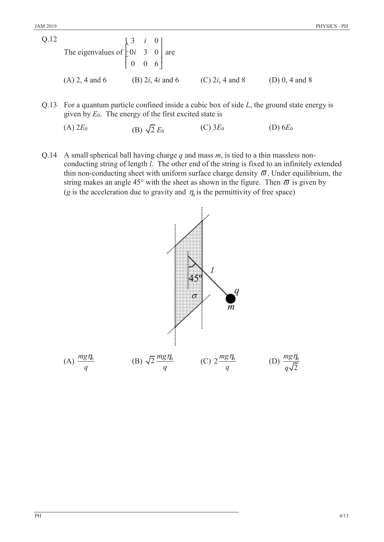| Q.12 | The eigenvalues of $\begin{bmatrix} 3 & i & 0 \\ 0 & 3 & 0 \\ 0 & 0 & 6 \end{bmatrix}$ are |  |                                   |                    |                    |
|------|--------------------------------------------------------------------------------------------|--|-----------------------------------|--------------------|--------------------|
|      | $(A)$ 2, 4 and 6                                                                           |  | (B) 2 <i>i</i> , 4 <i>i</i> and 6 | (C) $2i$ , 4 and 8 | (D) $0, 4$ and $8$ |

Q.13 For a quantum particle confined inside a cubic box of side *L*, the ground state energy is given by *E*0. The energy of the first excited state is

(A)  $2E_0$  (B)  $\sqrt{2} E_0$  (C)  $3E_0$  (D)  $6E_0$ 

Q.14 A small spherical ball having charge *q* and mass *m*, is tied to a thin massless nonconducting string of length *l*. The other end of the string is fixed to an infinitely extended thin non-conducting sheet with uniform surface charge density  $\varpi$ . Under equilibrium, the string makes an angle 45° with the sheet as shown in the figure. Then  $\bar{\omega}$  is given by (*g* is the acceleration due to gravity and  $\eta_0$  is the permittivity of free space)

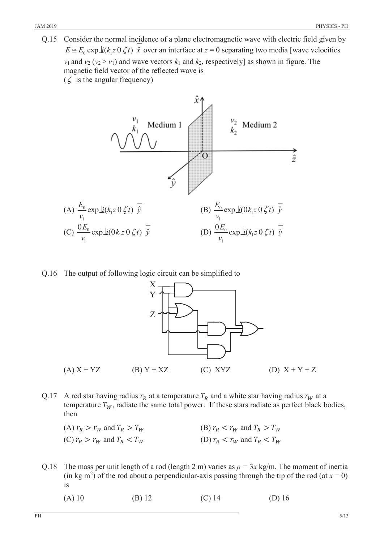Q.15 Consider the normal incidence of a plane electromagnetic wave with electric field given by  $\vec{E} \equiv E_0 \exp \frac{f}{k} (k_1 z \cdot 0 \cdot \zeta t)$   $\hat{x}$  over an interface at  $z = 0$  separating two media [wave velocities  $v_1$  and  $v_2$  ( $v_2 > v_1$ ) and wave vectors  $k_1$  and  $k_2$ , respectively] as shown in figure. The magnetic field vector of the reflected wave is  $(\zeta$  is the angular frequency)

ŷ  $\frac{v_2}{k_2}$  Medium 2 Medium 1  $\frac{1}{2}$  $\frac{E_0}{\exp \frac{1}{2}(k_1 z \cdot 0 \cdot \zeta t)} \cdot \frac{1}{\hat{y}}$  $\frac{E_0}{\cosh \omega} \exp \frac{1}{2} i (0 k_1 z 0 \zeta t) \overline{\hat{y}}$ (A)  $\frac{L_0}{L}$  exp  $\underline{\dot{u}}(k_1 z \ 0 \ \zeta t)$ .  $0 \zeta t$ )  $\hat{y}$  (B)  $\frac{L_0}{v} \exp \pm (0 k_1 z 0 \zeta t)$  $0k_1z\,0\,\zeta$ *v v* 1 1 (C)  $\frac{0E_0}{\mu} \exp \frac{i}{2} (0k_1 z 0 \zeta t) \bar{\hat{y}}$  $\frac{0E_0}{\sqrt{2}} \exp \frac{1}{2}(0k_1z \ 0 \ \zeta t) \ \frac{\nabla}{\hat{y}}$  (D)  $\frac{0E_0}{\sqrt{2}} \exp \frac{1}{2}(k_1z \ 0 \ \zeta t)$  $\frac{0E_0}{\exp \underline{\mathrm{i}}(k_1z)}$   $\zeta$  $\frac{E_0}{\exp \underline{\mathrm{i}}(k_1 z \cdot 0 \cdot \zeta t)} \cdot \overline{\hat{y}}$ *v v* 1 1

Q.16 The output of following logic circuit can be simplified to



- Q.17 A red star having radius  $r_R$  at a temperature  $T_R$  and a white star having radius  $r_W$  at a temperature  $T_W$ , radiate the same total power. If these stars radiate as perfect black bodies, then
	- (A)  $r_R > r_W$  and  $T_R > T_W$  (B)  $r_R < r_W$  and  $T_R > T_W$ (C)  $r_R > r_W$  and  $T_R < T_W$  (D)  $r_R < r_W$  and  $T_R < T_W$
- Q.18 The mass per unit length of a rod (length 2 m) varies as  $\rho = 3x \text{ kg/m}$ . The moment of inertia  $(\text{in kg m}^2)$  of the rod about a perpendicular-axis passing through the tip of the rod  $(\text{at } x = 0)$ is
	- (A) 10 (B) 12 (C) 14 (D) 16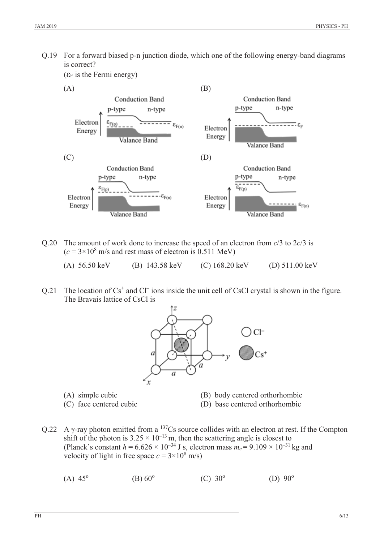Q.19 For a forward biased p-n junction diode, which one of the following energy-band diagrams is correct?

 $(\epsilon_F$  is the Fermi energy)



- Q.20 The amount of work done to increase the speed of an electron from *c*/3 to 2*c*/3 is  $(c = 3 \times 10^8 \text{ m/s}$  and rest mass of electron is 0.511 MeV)
	- (A) 56.50 keV (B) 143.58 keV (C) 168.20 keV (D) 511.00 keV
- Q.21 The location of  $Cs<sup>+</sup>$  and  $Cl<sup>-</sup>$  ions inside the unit cell of CsCl crystal is shown in the figure. The Bravais lattice of CsCl is



- 
- (A) simple cubic (B) body centered orthorhombic
- 
- (C) face centered cubic (D) base centered orthorhombic
- Q.22 A  $\gamma$ -ray photon emitted from a <sup>137</sup>Cs source collides with an electron at rest. If the Compton shift of the photon is  $3.25 \times 10^{-13}$  m, then the scattering angle is closest to (Planck's constant  $h = 6.626 \times 10^{-34}$  J s, electron mass  $m_e = 9.109 \times 10^{-31}$  kg and velocity of light in free space  $c = 3 \times 10^8$  m/s)
	- (A)  $45^{\circ}$  (B)  $60^{\circ}$  (C)  $30^{\circ}$  (D)  $90^{\circ}$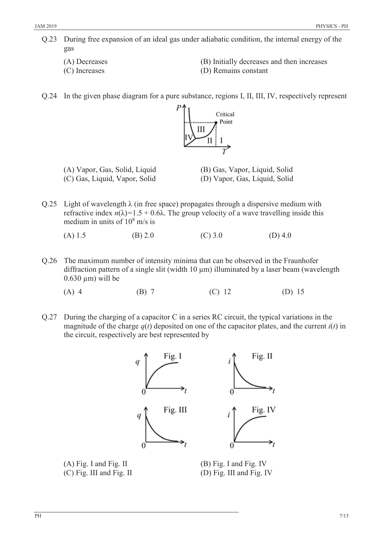- Q.23 During free expansion of an ideal gas under adiabatic condition, the internal energy of the gas
	-
	-
	- (A) Decreases (B) Initially decreases and then increases
	- (C) Increases (D) Remains constant
- Q.24 In the given phase diagram for a pure substance, regions I, II, III, IV, respectively represent



- (A) Vapor, Gas, Solid, Liquid (B) Gas, Vapor, Liquid, Solid (C) Gas, Liquid, Vapor, Solid (D) Vapor, Gas, Liquid, Solid
- 
- Q.25 Light of wavelength  $\lambda$  (in free space) propagates through a dispersive medium with refractive index  $n(\lambda) = 1.5 + 0.6\lambda$ . The group velocity of a wave travelling inside this medium in units of  $10^8$  m/s is

(A) 1.5 (B) 2.0 (C) 3.0 (D) 4.0

- Q.26 The maximum number of intensity minima that can be observed in the Fraunhofer diffraction pattern of a single slit (width 10  $\mu$ m) illuminated by a laser beam (wavelength  $0.630 \mu m$ ) will be
	- (A) 4 (B) 7 (C) 12 (D) 15
- Q.27 During the charging of a capacitor C in a series RC circuit, the typical variations in the magnitude of the charge  $q(t)$  deposited on one of the capacitor plates, and the current  $i(t)$  in the circuit, respectively are best represented by



(A) Fig. I and Fig. II (B) Fig. I and Fig. IV (C) Fig. III and Fig. II (D) Fig. III and Fig. IV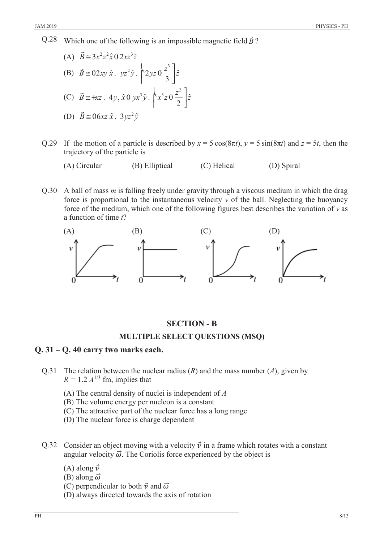$Q.28$  Which one of the following is an impossible magnetic field  $\vec{B}$ ?

(A) 
$$
\vec{B} \approx 3x^2z^2\hat{x} \cdot 02xz^3\hat{z}
$$
  
\n(B)  $\vec{B} \approx 02xy \hat{x} \cdot yz^2\hat{y} \cdot \begin{bmatrix} 2yz \cdot 0\frac{z^3}{3} \end{bmatrix} \hat{z}$   
\n(C)  $\vec{B} \approx +xz \cdot 4y, \hat{x} \cdot 0yx^3\hat{y} \cdot \begin{bmatrix} x^3z \cdot 0\frac{z^2}{2} \end{bmatrix} \hat{z}$   
\n(D)  $\vec{B} \approx 06xz \hat{x} \cdot 3yz^2\hat{y}$ 

- Q.29 If the motion of a particle is described by  $x = 5 \cos(8\pi t)$ ,  $y = 5 \sin(8\pi t)$  and  $z = 5t$ , then the trajectory of the particle is
	- (A) Circular (B) Elliptical (C) Helical (D) Spiral
- Q.30 A ball of mass *m* is falling freely under gravity through a viscous medium in which the drag force is proportional to the instantaneous velocity  $v$  of the ball. Neglecting the buoyancy force of the medium, which one of the following figures best describes the variation of *v* as a function of time *t*?



# **SECTION - B**

### **MULTIPLE SELECT QUESTIONS (MSQ)**

### **Q. 31 ± Q. 40 carry two marks each.**

- Q.31 The relation between the nuclear radius (*R*) and the mass number (*A*), given by  $R = 1.2 A^{1/3}$  fm, implies that
	- (A) The central density of nuclei is independent of *A*
	- (B) The volume energy per nucleon is a constant
	- (C) The attractive part of the nuclear force has a long range
	- (D) The nuclear force is charge dependent
- Q.32 Consider an object moving with a velocity  $\vec{v}$  in a frame which rotates with a constant angular velocity  $\vec{\omega}$ . The Coriolis force experienced by the object is
	- (A) along  $\vec{v}$
	- (B) along  $\vec{\omega}$
	- (C) perpendicular to both  $\vec{v}$  and  $\vec{\omega}$
	- (D) always directed towards the axis of rotation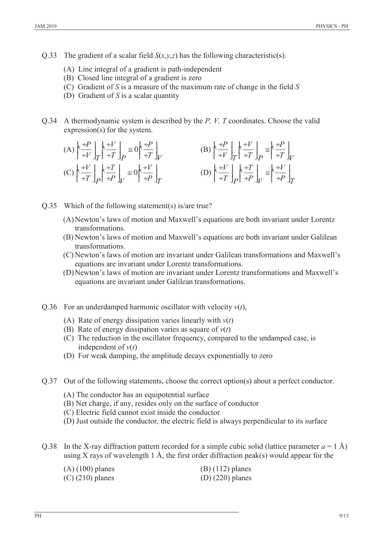- Q.33 The gradient of a scalar field  $S(x, y, z)$  has the following characteristic(s).
	- (A) Line integral of a gradient is path-independent
	- (B) Closed line integral of a gradient is zero
	- (C) Gradient of *S* is a measure of the maximum rate of change in the field *S*
	- (D) Gradient of *S* is a scalar quantity
- Q.34 A thermodynamic system is described by the *P, V, T* coordinates. Choose the valid expression(s) for the system.

(A) 
$$
\begin{aligned}\n\left(\frac{+P}{+V}\right]_T &\left(\frac{+V}{+T}\right]_P \cong 0 \left(\frac{+P}{+T}\right)_V\n\end{aligned}
$$
\n(B) 
$$
\begin{aligned}\n\left(\frac{+P}{+V}\right]_T &\left(\frac{+V}{+T}\right)_P \cong \left(\frac{+P}{+T}\right)_V\n\end{aligned}
$$
\n(C) 
$$
\begin{aligned}\n\left(\frac{+V}{+T}\right)_{P} &\left(\frac{+V}{+T}\right)_{P} \cong 0 \left(\frac{+V}{+P}\right)_T\n\end{aligned}
$$
\n(D) 
$$
\begin{aligned}\n\left(\frac{+V}{+T}\right)_{P} &\left(\frac{+T}{+P}\right)_{V} \cong \left(\frac{+V}{+P}\right)_T\n\end{aligned}
$$

- Q.35 Which of the following statement(s) is/are true?
	- (A)Newton's laws of motion and Maxwell's equations are both invariant under Lorentz transformations.
	- (B) Newton's laws of motion and Maxwell's equations are both invariant under Galilean transformations.
	- (C) Newton's laws of motion are invariant under Galilean transformations and Maxwell's equations are invariant under Lorentz transformations.
	- (D)Newton's laws of motion are invariant under Lorentz transformations and Maxwell's equations are invariant under Galilean transformations.
- Q.36 For an underdamped harmonic oscillator with velocity *v*(*t*),
	- (A) Rate of energy dissipation varies linearly with *v*(*t*)
	- (B) Rate of energy dissipation varies as square of *v*(*t*)
	- (C) The reduction in the oscillator frequency, compared to the undamped case, is independent of  $v(t)$
	- (D) For weak damping, the amplitude decays exponentially to zero
- Q.37 Out of the following statements, choose the correct option(s) about a perfect conductor.
	- (A) The conductor has an equipotential surface
	- (B) Net charge, if any, resides only on the surface of conductor
	- (C) Electric field cannot exist inside the conductor
	- (D) Just outside the conductor, the electric field is always perpendicular to its surface
- Q.38 In the X-ray diffraction pattern recorded for a simple cubic solid (lattice parameter  $a = 1 \text{ Å}$ ) using X rays of wavelength 1 Å, the first order diffraction peak(s) would appear for the

| $(A)$ (100) planes | $(B)$ (112) planes |
|--------------------|--------------------|
| $(C)$ (210) planes | $(D)$ (220) planes |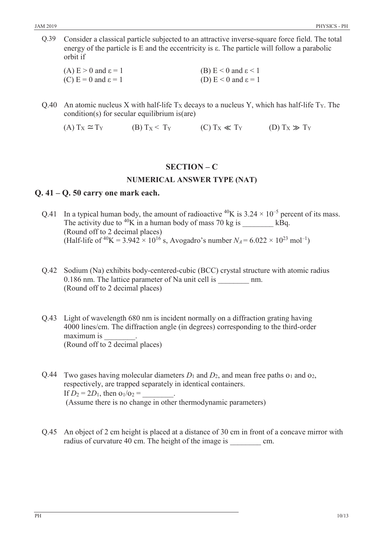Q.39 Consider a classical particle subjected to an attractive inverse-square force field. The total energy of the particle is E and the eccentricity is  $\varepsilon$ . The particle will follow a parabolic orbit if

| (A) $E > 0$ and $\epsilon = 1$ | (B) $E < 0$ and $\epsilon < 1$    |
|--------------------------------|-----------------------------------|
| (C) $E = 0$ and $\epsilon = 1$ | (D) $E < 0$ and $\varepsilon = 1$ |

Q.40 An atomic nucleus X with half-life  $T_X$  decays to a nucleus Y, which has half-life  $T_Y$ . The condition(s) for secular equilibrium is(are)

(A)  $T_X \cong T_Y$  (B)  $T_X \leq T_Y$  (C)  $T_X \ll T_Y$  (D)  $T_X \gg T_Y$ 

# **SECTION ± C**

## **NUMERICAL ANSWER TYPE (NAT)**

## **Q. 41 ± Q. 50 carry one mark each.**

- Q.41 In a typical human body, the amount of radioactive <sup>40</sup>K is  $3.24 \times 10^{-5}$  percent of its mass. The activity due to <sup>40</sup>K in a human body of mass 70 kg is  $kBq$ . (Round off to 2 decimal places) (Half-life of <sup>40</sup>K = 3.942  $\times$  10<sup>16</sup> s, Avogadro's number  $N_A$  = 6.022  $\times$  10<sup>23</sup> mol<sup>-1</sup>)
- Q.42 Sodium (Na) exhibits body-centered-cubic (BCC) crystal structure with atomic radius 0.186 nm. The lattice parameter of Na unit cell is mm. (Round off to 2 decimal places)
- Q.43 Light of wavelength 680 nm is incident normally on a diffraction grating having 4000 lines/cm. The diffraction angle (in degrees) corresponding to the third-order maximum is (Round off to 2 decimal places)

Q.44 Two gases having molecular diameters  $D_1$  and  $D_2$ , and mean free paths  $o_1$  and  $o_2$ , respectively, are trapped separately in identical containers. If  $D_2 = 2D_1$ , then  $O_1/O_2 =$ (Assume there is no change in other thermodynamic parameters)

Q.45 An object of 2 cm height is placed at a distance of 30 cm in front of a concave mirror with radius of curvature 40 cm. The height of the image is cm.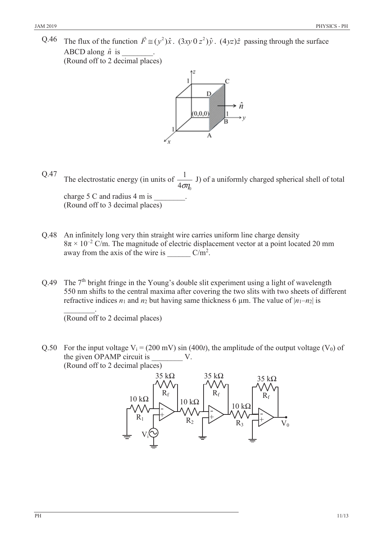Q.46 The flux of the function  $\vec{F} \approx (y^2)\hat{x}$ .  $(3xy \cdot 0z^2)\hat{y}$ .  $(4yz)\hat{z}$  passing through the surface ABCD along  $\hat{n}$  is (Round off to 2 decimal places)



- Q.47 The electrostatic energy (in units of  $^{\prime}$ 1  $4\sigma\eta$ J) of a uniformly charged spherical shell of total charge 5 C and radius 4 m is (Round off to 3 decimal places)
- Q.48 An infinitely long very thin straight wire carries uniform line charge density  $8\pi \times 10^{-2}$  C/m. The magnitude of electric displacement vector at a point located 20 mm away from the axis of the wire is  $\frac{C}{m^2}$ .
- Q.49 The  $7<sup>th</sup>$  bright fringe in the Young's double slit experiment using a light of wavelength 550 nm shifts to the central maxima after covering the two slits with two sheets of different refractive indices  $n_1$  and  $n_2$  but having same thickness 6  $\mu$ m. The value of  $|n_1-n_2|$  is

 $\overline{\phantom{a}}$ (Round off to 2 decimal places)

Q.50 For the input voltage  $V_i = (200 \text{ mV}) \sin (400t)$ , the amplitude of the output voltage (V<sub>0</sub>) of the given OPAMP circuit is  $V$ . (Round off to 2 decimal places)

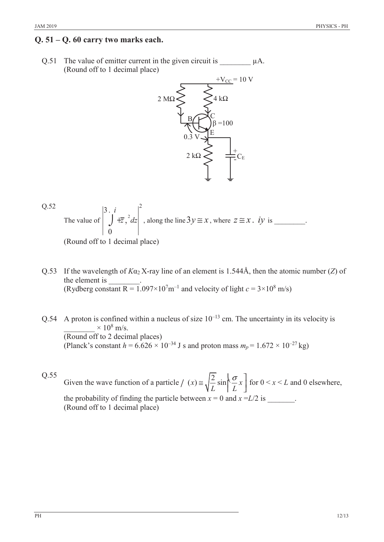## **Q. 51 ± Q. 60 carry two marks each.**

Q.51 The value of emitter current in the given circuit is  $\mu A$ . (Round off to 1 decimal place)



Q.52  
The value of 
$$
\begin{vmatrix} 3 & i \\ j & \pm z^2 \end{vmatrix} + \overline{z}^2, \frac{dz}{dz} \begin{vmatrix} 2 \\ 1 \end{vmatrix}
$$
, along the line  $3y \approx x$ , where  $z \approx x$ . *iy* is \_\_\_\_\_\_\_.

(Round off to 1 decimal place)

- Q.53 If the wavelength of  $K\alpha_2 X$ -ray line of an element is 1.544Å, then the atomic number (*Z*) of the element is (Rydberg constant R =  $1.097 \times 10^7$  m<sup>-1</sup> and velocity of light  $c = 3 \times 10^8$  m/s)
- Q.54 A proton is confined within a nucleus of size  $10^{-13}$  cm. The uncertainty in its velocity is  $\times$  10<sup>8</sup> m/s. (Round off to 2 decimal places) (Planck's constant  $h = 6.626 \times 10^{-34}$  J s and proton mass  $m_p = 1.672 \times 10^{-27}$  kg)

Q.55 Given the wave function of a particle /  $(x) \approx \sqrt{\frac{2}{x}} \sin \left( \frac{\sigma}{x} x \right)$ /  $(x) \approx \sqrt{\frac{2}{L}} \sin \left( \frac{\sigma}{L} x \right)$  for  $0 < x < L$  and 0 elsewhere, the probability of finding the particle between  $x = 0$  and  $x = L/2$  is  $\qquad \qquad$ . (Round off to 1 decimal place)